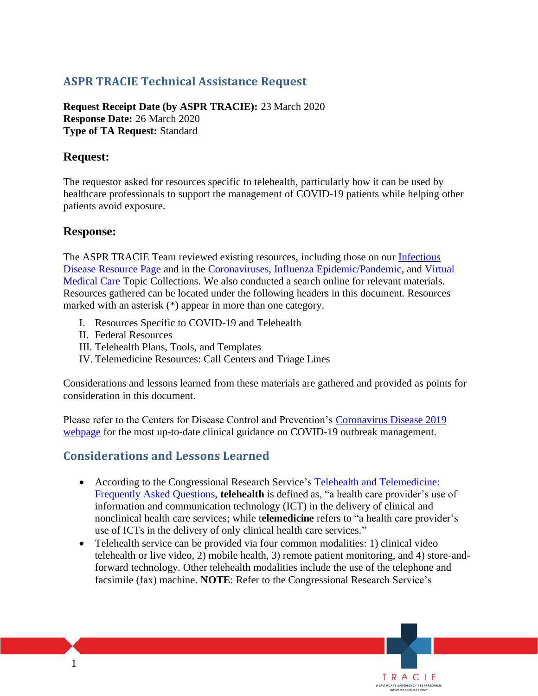# **ASPR TRACIE Technical Assistance Request**

**Request Receipt Date (by ASPR TRACIE):** 23 March 2020 **Response Date:** 26 March 2020 **Type of TA Request:** Standard

## **Request:**

The requestor asked for resources specific to telehealth, particularly how it can be used by healthcare professionals to support the management of COVID-19 patients while helping other patients avoid exposure.

## **Response:**

The ASPR TRACIE Team reviewed existing resources, including those on our [Infectious](https://asprtracie.hhs.gov/infectious-disease)  [Disease Resource Page](https://asprtracie.hhs.gov/infectious-disease) and in the [Coronaviruses,](https://asprtracie.hhs.gov/technical-resources/44/coronaviruses-sars-mers-and-covid-19/27) [Influenza Epidemic/Pandemic,](https://asprtracie.hhs.gov/technical-resources/42/influenza-epidemic-pandemic/27) and [Virtual](https://asprtracie.hhs.gov/technical-resources/55/virtual-medical-care/47) [Medical Care](https://asprtracie.hhs.gov/technical-resources/55/virtual-medical-care/47) Topic Collections. We also conducted a search online for relevant materials. Resources gathered can be located under the following headers in this document. Resources marked with an asterisk (\*) appear in more than one category.

- I. Resources Specific to COVID-19 and Telehealth
- II. Federal Resources
- III. Telehealth Plans, Tools, and Templates
- IV. Telemedicine Resources: Call Centers and Triage Lines

Considerations and lessons learned from these materials are gathered and provided as points for consideration in this document.

Please refer to the Centers for Disease Control and Prevention's [Coronavirus Disease 2019](https://www.cdc.gov/coronavirus/2019-ncov/index.html)  [webpage](https://www.cdc.gov/coronavirus/2019-ncov/index.html) for the most up-to-date clinical guidance on COVID-19 outbreak management.

# **Considerations and Lessons Learned**

- According to the Congressional Research Service's Telehealth and Telemedicine: [Frequently Asked Questions,](https://crsreports.congress.gov/product/pdf/R/R46239) **telehealth** is defined as, "a health care provider's use of information and communication technology (ICT) in the delivery of clinical and nonclinical health care services; while t**elemedicine** refers to "a health care provider's use of ICTs in the delivery of only clinical health care services."
- Telehealth service can be provided via four common modalities: 1) clinical video telehealth or live video, 2) mobile health, 3) remote patient monitoring, and 4) store-andforward technology. Other telehealth modalities include the use of the telephone and facsimile (fax) machine. **NOTE**: Refer to the Congressional Research Service's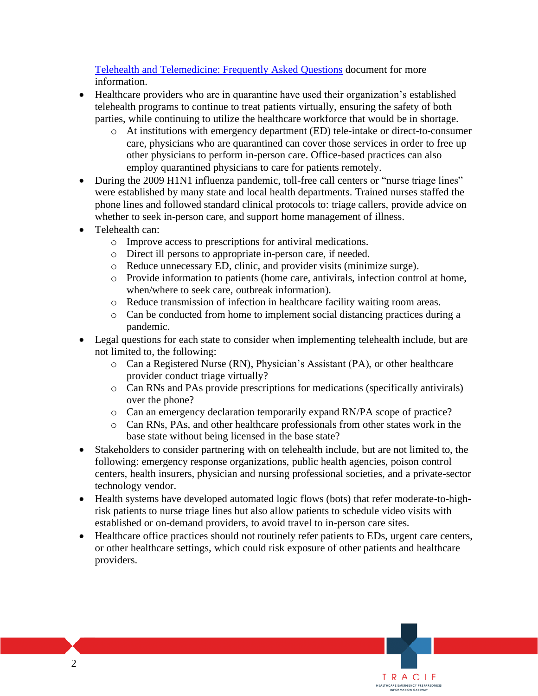[Telehealth and Telemedicine: Frequently Asked Questions](https://crsreports.congress.gov/product/pdf/R/R46239) document for more information.

- Healthcare providers who are in quarantine have used their organization's established telehealth programs to continue to treat patients virtually, ensuring the safety of both parties, while continuing to utilize the healthcare workforce that would be in shortage.
	- o At institutions with emergency department (ED) tele-intake or direct-to-consumer care, physicians who are quarantined can cover those services in order to free up other physicians to perform in-person care. Office-based practices can also employ quarantined physicians to care for patients remotely.
- During the 2009 H1N1 influenza pandemic, toll-free call centers or "nurse triage lines" were established by many state and local health departments. Trained nurses staffed the phone lines and followed standard clinical protocols to: triage callers, provide advice on whether to seek in-person care, and support home management of illness.
- Telehealth can:
	- o Improve access to prescriptions for antiviral medications.
	- o Direct ill persons to appropriate in-person care, if needed.
	- o Reduce unnecessary ED, clinic, and provider visits (minimize surge).
	- o Provide information to patients (home care, antivirals, infection control at home, when/where to seek care, outbreak information).
	- o Reduce transmission of infection in healthcare facility waiting room areas.
	- o Can be conducted from home to implement social distancing practices during a pandemic.
- Legal questions for each state to consider when implementing telehealth include, but are not limited to, the following:
	- o Can a Registered Nurse (RN), Physician's Assistant (PA), or other healthcare provider conduct triage virtually?
	- o Can RNs and PAs provide prescriptions for medications (specifically antivirals) over the phone?
	- o Can an emergency declaration temporarily expand RN/PA scope of practice?
	- o Can RNs, PAs, and other healthcare professionals from other states work in the base state without being licensed in the base state?
- Stakeholders to consider partnering with on telehealth include, but are not limited to, the following: emergency response organizations, public health agencies, poison control centers, health insurers, physician and nursing professional societies, and a private-sector technology vendor.
- Health systems have developed automated logic flows (bots) that refer moderate-to-highrisk patients to nurse triage lines but also allow patients to schedule video visits with established or on-demand providers, to avoid travel to in-person care sites.
- Healthcare office practices should not routinely refer patients to EDs, urgent care centers, or other healthcare settings, which could risk exposure of other patients and healthcare providers.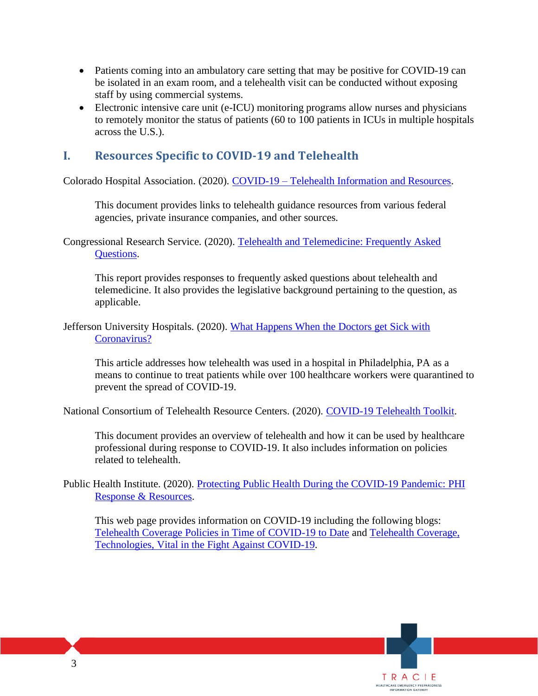- Patients coming into an ambulatory care setting that may be positive for COVID-19 can be isolated in an exam room, and a telehealth visit can be conducted without exposing staff by using commercial systems.
- Electronic intensive care unit (e-ICU) monitoring programs allow nurses and physicians to remotely monitor the status of patients (60 to 100 patients in ICUs in multiple hospitals across the U.S.).

# **I. Resources Specific to COVID-19 and Telehealth**

Colorado Hospital Association. (2020). COVID-19 – [Telehealth Information and Resources.](https://cha.com/wp-content/uploads/2020/03/COVID-19-Telehealth-Information-and-Resources.pdf)

This document provides links to telehealth guidance resources from various federal agencies, private insurance companies, and other sources.

Congressional Research Service. (2020). [Telehealth and Telemedicine: Frequently Asked](https://crsreports.congress.gov/product/pdf/R/R46239)  [Questions.](https://crsreports.congress.gov/product/pdf/R/R46239)

This report provides responses to frequently asked questions about telehealth and telemedicine. It also provides the legislative background pertaining to the question, as applicable.

Jefferson University Hospitals. (2020). What Happens When the Doctors get Sick with [Coronavirus?](https://hospitals.jefferson.edu/news/2020/03/when-doctors-get-sick-with-coronavirus.html)

This article addresses how telehealth was used in a hospital in Philadelphia, PA as a means to continue to treat patients while over 100 healthcare workers were quarantined to prevent the spread of COVID-19.

National Consortium of Telehealth Resource Centers. (2020). [COVID-19 Telehealth Toolkit.](https://www.telehealthresourcecenter.org/wp-content/uploads/2020/03/Telehealth-and-COVID-19-FINAL.pdf)

This document provides an overview of telehealth and how it can be used by healthcare professional during response to COVID-19. It also includes information on policies related to telehealth.

Public Health Institute. (2020). [Protecting Public Health During the COVID-19 Pandemic: PHI](https://www.phi.org/news-events/1742/protecting-public-health-during-the-covid-19-pandemic-phi-response-resources)  [Response & Resources.](https://www.phi.org/news-events/1742/protecting-public-health-during-the-covid-19-pandemic-phi-response-resources)

This web page provides information on COVID-19 including the following blogs: [Telehealth Coverage Policies in Time of COVID-19 to Date](https://www.cchpca.org/sites/default/files/2020-03/CORONAVIRUS%20TELEHEALTH%20POLICY%20FACT%20SHEET%20MAR%2017%202020%203%20PM.pdf) an[d Telehealth Coverage,](https://www.phi.org/news-events/1737/telehealth-coverage-technologies-vital-in-the-fight-against-cov-19)  [Technologies, Vital in the Fight Against COVID-19.](https://www.phi.org/news-events/1737/telehealth-coverage-technologies-vital-in-the-fight-against-cov-19)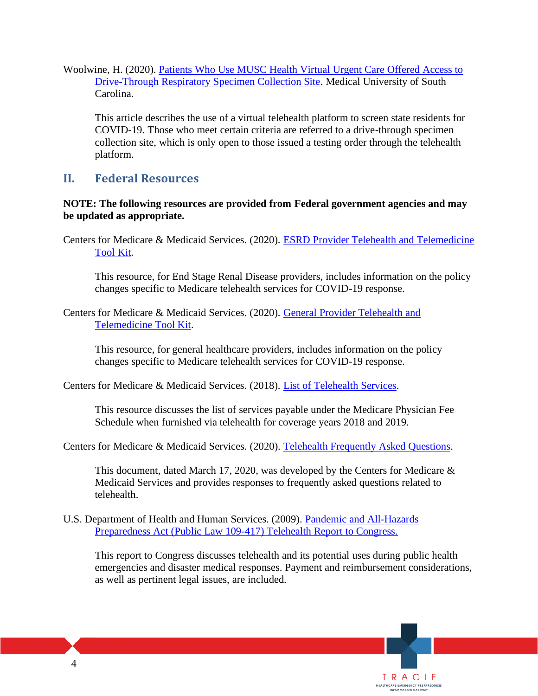Woolwine, H. (2020). [Patients Who Use MUSC Health Virtual Urgent Care Offered Access to](https://web.musc.edu/about/news-center/2020/03/12/covid-19-drive-thru)  [Drive-Through Respiratory Specimen Collection Site.](https://web.musc.edu/about/news-center/2020/03/12/covid-19-drive-thru) Medical University of South Carolina.

This article describes the use of a virtual telehealth platform to screen state residents for COVID-19. Those who meet certain criteria are referred to a drive-through specimen collection site, which is only open to those issued a testing order through the telehealth platform.

### **II. Federal Resources**

### **NOTE: The following resources are provided from Federal government agencies and may be updated as appropriate.**

Centers for Medicare & Medicaid Services. (2020). [ESRD Provider Telehealth and Telemedicine](https://www.cms.gov/files/document/esrd-provider-telehealth-telemedicine-toolkit.pdf)  [Tool Kit.](https://www.cms.gov/files/document/esrd-provider-telehealth-telemedicine-toolkit.pdf)

This resource, for End Stage Renal Disease providers, includes information on the policy changes specific to Medicare telehealth services for COVID-19 response.

Centers for Medicare & Medicaid Services. (2020). [General Provider Telehealth and](https://www.cms.gov/files/document/general-telemedicine-toolkit.pdf)  [Telemedicine Tool Kit.](https://www.cms.gov/files/document/general-telemedicine-toolkit.pdf)

This resource, for general healthcare providers, includes information on the policy changes specific to Medicare telehealth services for COVID-19 response.

Centers for Medicare & Medicaid Services. (2018). [List of Telehealth Services.](https://www.cms.gov/Medicare/Medicare-General-Information/Telehealth/Telehealth-Codes.html)

This resource discusses the list of services payable under the Medicare Physician Fee Schedule when furnished via telehealth for coverage years 2018 and 2019.

Centers for Medicare & Medicaid Services. (2020). [Telehealth Frequently Asked Questions.](https://edit.cms.gov/files/document/medicare-telehealth-frequently-asked-questions-faqs-31720.pdf)

This document, dated March 17, 2020, was developed by the Centers for Medicare & Medicaid Services and provides responses to frequently asked questions related to telehealth.

#### U.S. Department of Health and Human Services. (2009). [Pandemic and All-Hazards](http://www.phe.gov/Preparedness/legal/pahpa/Documents/telehealthrtc-091207.pdf)  [Preparedness Act \(Public Law 109-417\) Telehealth Report to Congress.](http://www.phe.gov/Preparedness/legal/pahpa/Documents/telehealthrtc-091207.pdf)

This report to Congress discusses telehealth and its potential uses during public health emergencies and disaster medical responses. Payment and reimbursement considerations, as well as pertinent legal issues, are included.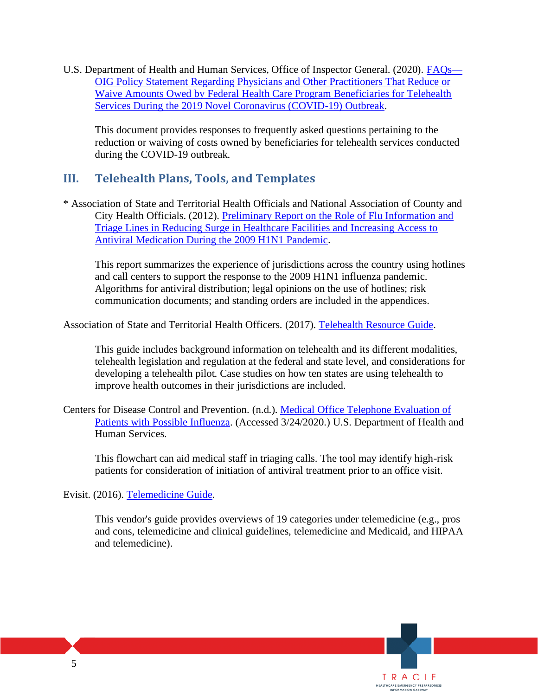U.S. Department of Health and Human Services, Office of Inspector General. (2020). [FAQs—](https://oig.hhs.gov/fraud/docs/alertsandbulletins/2020/telehealth-waiver-faq-2020.pdf) [OIG Policy Statement Regarding Physicians and Other Practitioners That Reduce or](https://oig.hhs.gov/fraud/docs/alertsandbulletins/2020/telehealth-waiver-faq-2020.pdf)  Waive Amounts Owed by Federal Health Care Program Beneficiaries for Telehealth [Services During the 2019 Novel Coronavirus \(COVID-19\) Outbreak.](https://oig.hhs.gov/fraud/docs/alertsandbulletins/2020/telehealth-waiver-faq-2020.pdf)

This document provides responses to frequently asked questions pertaining to the reduction or waiving of costs owned by beneficiaries for telehealth services conducted during the COVID-19 outbreak.

## **III. Telehealth Plans, Tools, and Templates**

\* Association of State and Territorial Health Officials and National Association of County and City Health Officials. (2012). [Preliminary Report on the Role of Flu Information and](http://astho.org/Programs/Preparedness/Nurse-Triage-Line-Project/Preliminary-Report-on-the-Role-of-Flu-Information-and-Triage-Lines/)  [Triage Lines in Reducing Surge in Healthcare Facilities and Increasing Access to](http://astho.org/Programs/Preparedness/Nurse-Triage-Line-Project/Preliminary-Report-on-the-Role-of-Flu-Information-and-Triage-Lines/)  [Antiviral Medication During the 2009 H1N1 Pandemic.](http://astho.org/Programs/Preparedness/Nurse-Triage-Line-Project/Preliminary-Report-on-the-Role-of-Flu-Information-and-Triage-Lines/)

This report summarizes the experience of jurisdictions across the country using hotlines and call centers to support the response to the 2009 H1N1 influenza pandemic. Algorithms for antiviral distribution; legal opinions on the use of hotlines; risk communication documents; and standing orders are included in the appendices.

Association of State and Territorial Health Officers. (2017). [Telehealth Resource Guide.](http://www.astho.org/Health-Systems-Transformation/Medicaid-and-Public-Health-Partnerships/2017-Telehealth-Resource-Guide/)

This guide includes background information on telehealth and its different modalities, telehealth legislation and regulation at the federal and state level, and considerations for developing a telehealth pilot. Case studies on how ten states are using telehealth to improve health outcomes in their jurisdictions are included.

Centers for Disease Control and Prevention. (n.d.). [Medical Office Telephone Evaluation of](https://www.cdc.gov/flu/pdf/professionals/antivirals/antivirals-protocol-flowchart-updated.pdf)  [Patients with Possible Influenza.](https://www.cdc.gov/flu/pdf/professionals/antivirals/antivirals-protocol-flowchart-updated.pdf) (Accessed 3/24/2020.) U.S. Department of Health and Human Services.

This flowchart can aid medical staff in triaging calls. The tool may identify high-risk patients for consideration of initiation of antiviral treatment prior to an office visit.

Evisit. (2016). [Telemedicine Guide.](http://evisit.com/what-is-telemedicine/)

This vendor's guide provides overviews of 19 categories under telemedicine (e.g., pros and cons, telemedicine and clinical guidelines, telemedicine and Medicaid, and HIPAA and telemedicine).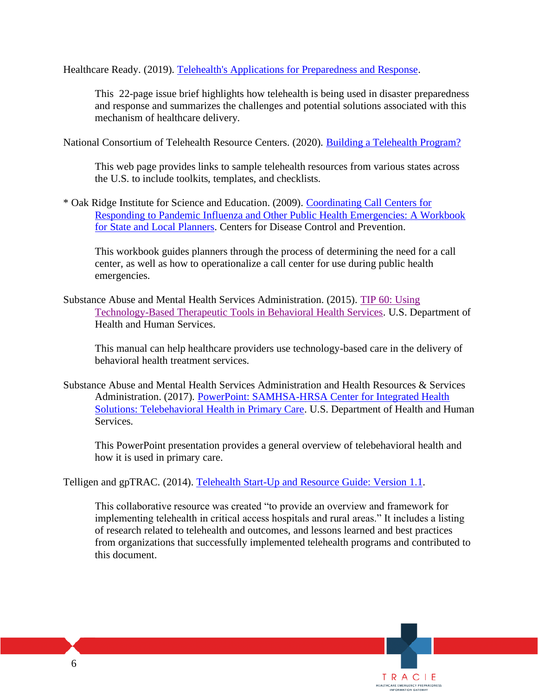Healthcare Ready. (2019). [Telehealth's Applications for Preparedness and Response.](https://healthcareready.org/wp-content/uploads/2019/12/HCR_Telehealth_Brief_SCREEN_2.pdf)

This 22-page issue brief highlights how telehealth is being used in disaster preparedness and response and summarizes the challenges and potential solutions associated with this mechanism of healthcare delivery.

National Consortium of Telehealth Resource Centers. (2020). [Building a Telehealth Program?](https://www.telehealthresourcecenter.org/resources/)

This web page provides links to sample telehealth resources from various states across the U.S. to include toolkits, templates, and checklists.

\* Oak Ridge Institute for Science and Education. (2009). [Coordinating Call Centers for](https://www.cdc.gov/cpr/readiness/healthcare/documents/FinalCallCenterWorkbookForWeb.pdf)  [Responding to Pandemic Influenza and Other Public Health Emergencies: A Workbook](https://www.cdc.gov/cpr/readiness/healthcare/documents/FinalCallCenterWorkbookForWeb.pdf)  [for State and Local Planners.](https://www.cdc.gov/cpr/readiness/healthcare/documents/FinalCallCenterWorkbookForWeb.pdf) Centers for Disease Control and Prevention.

This workbook guides planners through the process of determining the need for a call center, as well as how to operationalize a call center for use during public health emergencies.

Substance Abuse and Mental Health Services Administration. (2015). [TIP 60: Using](https://store.samhsa.gov/product/TIP-60-Using-Technology-Based-Therapeutic-Tools-in-Behavioral-Health-Services/SMA15-4924)  [Technology-Based Therapeutic Tools in Behavioral Health Services.](https://store.samhsa.gov/product/TIP-60-Using-Technology-Based-Therapeutic-Tools-in-Behavioral-Health-Services/SMA15-4924) U.S. Department of Health and Human Services.

This manual can help healthcare providers use technology-based care in the delivery of behavioral health treatment services.

Substance Abuse and Mental Health Services Administration and Health Resources & Services Administration. (2017). [PowerPoint: SAMHSA-HRSA Center for Integrated Health](https://tbhcoe.matrc.org/wp-content/uploads/2018/07/SAMHSA-HRSA-CIHS-Telebehavioral-Health-in-Primary-Care-Webinar-170600-2017.pdf?189db0&189db0)  [Solutions: Telebehavioral Health in Primary Care.](https://tbhcoe.matrc.org/wp-content/uploads/2018/07/SAMHSA-HRSA-CIHS-Telebehavioral-Health-in-Primary-Care-Webinar-170600-2017.pdf?189db0&189db0) U.S. Department of Health and Human Services.

This PowerPoint presentation provides a general overview of telebehavioral health and how it is used in primary care.

Telligen and gpTRAC. (2014). [Telehealth Start-Up and Resource Guide: Version 1.1.](https://www.healthit.gov/sites/default/files/playbook/pdf/telehealth-startup-and-resource-guide.pdf)

This collaborative resource was created "to provide an overview and framework for implementing telehealth in critical access hospitals and rural areas." It includes a listing of research related to telehealth and outcomes, and lessons learned and best practices from organizations that successfully implemented telehealth programs and contributed to this document.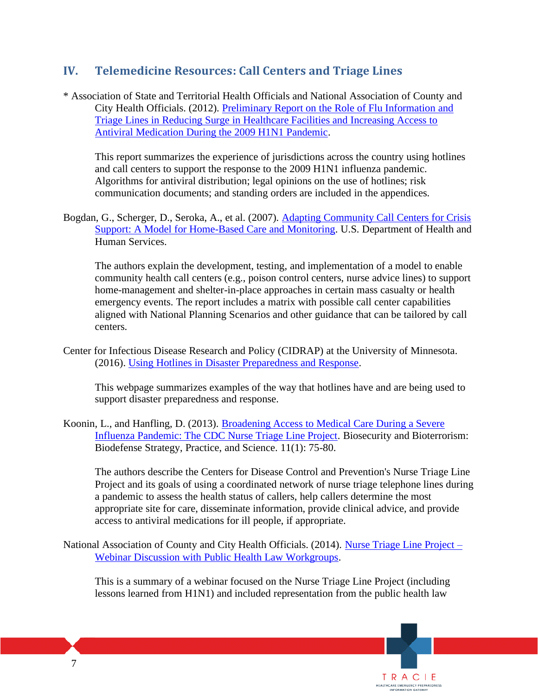# **IV. Telemedicine Resources: Call Centers and Triage Lines**

\* Association of State and Territorial Health Officials and National Association of County and City Health Officials. (2012). [Preliminary Report on the Role of Flu Information and](http://astho.org/Programs/Preparedness/Nurse-Triage-Line-Project/Preliminary-Report-on-the-Role-of-Flu-Information-and-Triage-Lines/)  [Triage Lines in Reducing Surge in Healthcare Facilities and Increasing Access to](http://astho.org/Programs/Preparedness/Nurse-Triage-Line-Project/Preliminary-Report-on-the-Role-of-Flu-Information-and-Triage-Lines/)  [Antiviral Medication During the 2009 H1N1 Pandemic.](http://astho.org/Programs/Preparedness/Nurse-Triage-Line-Project/Preliminary-Report-on-the-Role-of-Flu-Information-and-Triage-Lines/)

This report summarizes the experience of jurisdictions across the country using hotlines and call centers to support the response to the 2009 H1N1 influenza pandemic. Algorithms for antiviral distribution; legal opinions on the use of hotlines; risk communication documents; and standing orders are included in the appendices.

Bogdan, G., Scherger, D., Seroka, A., et al. (2007). [Adapting Community Call Centers for Crisis](http://archive.ahrq.gov/prep/callcenters/callcenters.pdf)  [Support: A Model for Home-Based Care and Monitoring.](http://archive.ahrq.gov/prep/callcenters/callcenters.pdf) U.S. Department of Health and Human Services.

The authors explain the development, testing, and implementation of a model to enable community health call centers (e.g., poison control centers, nurse advice lines) to support home-management and shelter-in-place approaches in certain mass casualty or health emergency events. The report includes a matrix with possible call center capabilities aligned with National Planning Scenarios and other guidance that can be tailored by call centers.

Center for Infectious Disease Research and Policy (CIDRAP) at the University of Minnesota. (2016). [Using Hotlines in Disaster Preparedness and Response.](http://www.cidrap.umn.edu/phpractices/2013/08/using-hotlines-disaster-preparedness-and-response)

This webpage summarizes examples of the way that hotlines have and are being used to support disaster preparedness and response.

Koonin, L., and Hanfling, D. (2013). [Broadening Access to Medical Care During a Severe](https://www.liebertpub.com/doi/full/10.1089/bsp.2013.0012?url_ver=Z39.88-2003&rfr_id=ori%3Arid%3Acrossref.org&rfr_dat=cr_pub%3Dpubmed&)  [Influenza Pandemic: The CDC Nurse Triage Line Project.](https://www.liebertpub.com/doi/full/10.1089/bsp.2013.0012?url_ver=Z39.88-2003&rfr_id=ori%3Arid%3Acrossref.org&rfr_dat=cr_pub%3Dpubmed&) Biosecurity and Bioterrorism: Biodefense Strategy, Practice, and Science. 11(1): 75-80.

The authors describe the Centers for Disease Control and Prevention's Nurse Triage Line Project and its goals of using a coordinated network of nurse triage telephone lines during a pandemic to assess the health status of callers, help callers determine the most appropriate site for care, disseminate information, provide clinical advice, and provide access to antiviral medications for ill people, if appropriate.

National Association of County and City Health Officials. (2014). [Nurse Triage Line Project –](http://nacchopreparedness.org/nurse-triage-line-project-webinar-discussion-with-public-health-law-workgroups/) [Webinar Discussion with Public Health Law Workgroups.](http://nacchopreparedness.org/nurse-triage-line-project-webinar-discussion-with-public-health-law-workgroups/)

This is a summary of a webinar focused on the Nurse Triage Line Project (including lessons learned from H1N1) and included representation from the public health law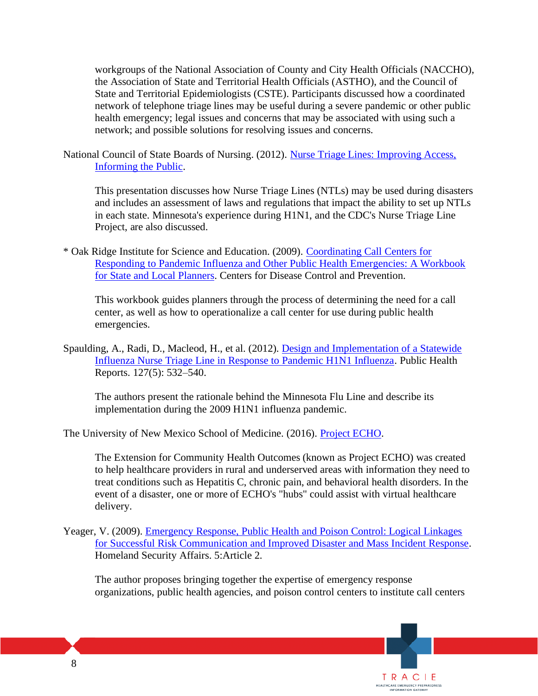workgroups of the National Association of County and City Health Officials (NACCHO), the Association of State and Territorial Health Officials (ASTHO), and the Council of State and Territorial Epidemiologists (CSTE). Participants discussed how a coordinated network of telephone triage lines may be useful during a severe pandemic or other public health emergency; legal issues and concerns that may be associated with using such a network; and possible solutions for resolving issues and concerns.

National Council of State Boards of Nursing. (2012). [Nurse Triage Lines: Improving Access,](https://www.ncsbn.org/NurseTriage_Lines_Presentation.pdf)  [Informing the Public.](https://www.ncsbn.org/NurseTriage_Lines_Presentation.pdf)

This presentation discusses how Nurse Triage Lines (NTLs) may be used during disasters and includes an assessment of laws and regulations that impact the ability to set up NTLs in each state. Minnesota's experience during H1N1, and the CDC's Nurse Triage Line Project, are also discussed.

\* Oak Ridge Institute for Science and Education. (2009). [Coordinating Call Centers for](https://www.cdc.gov/cpr/readiness/healthcare/documents/FinalCallCenterWorkbookForWeb.pdf)  [Responding to Pandemic Influenza and Other Public Health Emergencies: A Workbook](https://www.cdc.gov/cpr/readiness/healthcare/documents/FinalCallCenterWorkbookForWeb.pdf)  [for State and Local Planners.](https://www.cdc.gov/cpr/readiness/healthcare/documents/FinalCallCenterWorkbookForWeb.pdf) Centers for Disease Control and Prevention.

This workbook guides planners through the process of determining the need for a call center, as well as how to operationalize a call center for use during public health emergencies.

Spaulding, A., Radi, D., Macleod, H., et al. (2012). [Design and Implementation of a Statewide](http://www.ncbi.nlm.nih.gov/pmc/articles/PMC3407854/)  [Influenza Nurse Triage Line in Response to Pandemic H1N1 Influenza.](http://www.ncbi.nlm.nih.gov/pmc/articles/PMC3407854/) Public Health Reports. 127(5): 532–540.

The authors present the rationale behind the Minnesota Flu Line and describe its implementation during the 2009 H1N1 influenza pandemic.

The University of New Mexico School of Medicine. (2016). [Project ECHO.](http://echo.unm.edu/)

The Extension for Community Health Outcomes (known as Project ECHO) was created to help healthcare providers in rural and underserved areas with information they need to treat conditions such as Hepatitis C, chronic pain, and behavioral health disorders. In the event of a disaster, one or more of ECHO's "hubs" could assist with virtual healthcare delivery.

Yeager, V. (2009). Emergency Response, Public Health and Poison Control: Logical Linkages [for Successful Risk Communication and Improved Disaster and Mass Incident Response.](https://www.hsaj.org/articles/96) Homeland Security Affairs. 5:Article 2.

The author proposes bringing together the expertise of emergency response organizations, public health agencies, and poison control centers to institute call centers